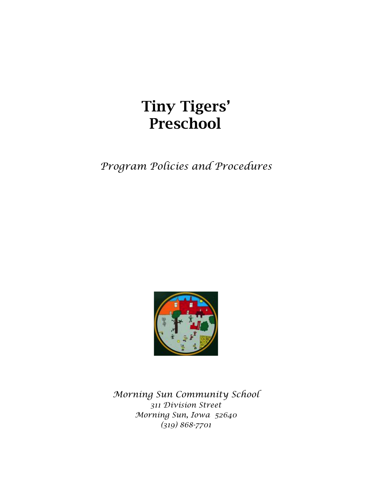# Tiny Tigers' Preschool

*Program Policies and Procedures*



*Morning Sun Community School 311 Division Street Morning Sun, Iowa 52640 (319) 868-7701*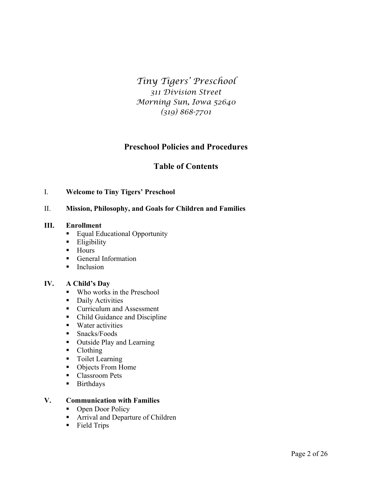*Tiny Tigers' Preschool 311 Division Street Morning Sun, Iowa 52640 (319) 868-7701*

# **Preschool Policies and Procedures**

# **Table of Contents**

# I. **Welcome to Tiny Tigers' Preschool**

# II. **Mission, Philosophy, and Goals for Children and Families**

# **III. Enrollment**

- Equal Educational Opportunity
- Eligibility
- Hours
- General Information
- Inclusion

# **IV. A Child's Day**

- Who works in the Preschool
- Daily Activities
- Curriculum and Assessment
- Child Guidance and Discipline
- Water activities
- Snacks/Foods
- Outside Play and Learning
- Clothing
- Toilet Learning
- Objects From Home
- Classroom Pets
- § Birthdays

# **V. Communication with Families**

- Open Door Policy
- Arrival and Departure of Children
- § Field Trips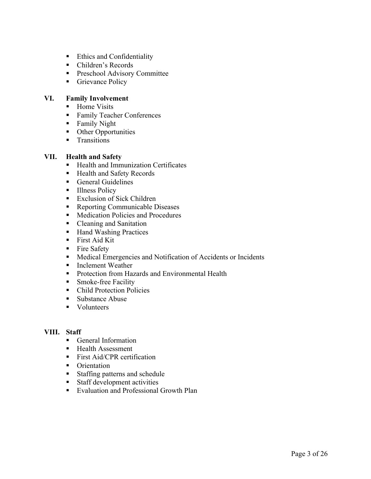- Ethics and Confidentiality
- Children's Records
- Preschool Advisory Committee
- Grievance Policy

# **VI. Family Involvement**

- Home Visits
- Family Teacher Conferences
- Family Night
- Other Opportunities
- Transitions

# **VII. Health and Safety**

- Health and Immunization Certificates
- Health and Safety Records
- General Guidelines
- Illness Policy
- Exclusion of Sick Children
- Reporting Communicable Diseases
- Medication Policies and Procedures
- Cleaning and Sanitation
- Hand Washing Practices
- First Aid Kit
- Fire Safety
- Medical Emergencies and Notification of Accidents or Incidents
- Inclement Weather
- Protection from Hazards and Environmental Health
- Smoke-free Facility
- Child Protection Policies
- Substance Abuse
- Volunteers

# **VIII. Staff**

- General Information
- Health Assessment
- First Aid/CPR certification
- Orientation
- Staffing patterns and schedule
- Staff development activities
- Evaluation and Professional Growth Plan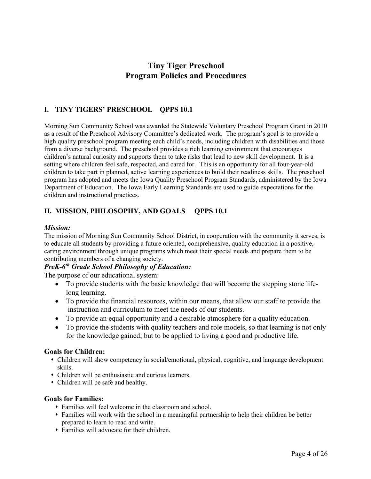# **Tiny Tiger Preschool Program Policies and Procedures**

# **I. TINY TIGERS' PRESCHOOL QPPS 10.1**

Morning Sun Community School was awarded the Statewide Voluntary Preschool Program Grant in 2010 as a result of the Preschool Advisory Committee's dedicated work. The program's goal is to provide a high quality preschool program meeting each child's needs, including children with disabilities and those from a diverse background. The preschool provides a rich learning environment that encourages children's natural curiosity and supports them to take risks that lead to new skill development. It is a setting where children feel safe, respected, and cared for. This is an opportunity for all four-year-old children to take part in planned, active learning experiences to build their readiness skills. The preschool program has adopted and meets the Iowa Quality Preschool Program Standards, administered by the Iowa Department of Education. The Iowa Early Learning Standards are used to guide expectations for the children and instructional practices.

# **II. MISSION, PHILOSOPHY, AND GOALS QPPS 10.1**

# *Mission:*

The mission of Morning Sun Community School District, in cooperation with the community it serves, is to educate all students by providing a future oriented, comprehensive, quality education in a positive, caring environment through unique programs which meet their special needs and prepare them to be contributing members of a changing society.

# *PreK-6th Grade School Philosophy of Education:*

The purpose of our educational system:

- To provide students with the basic knowledge that will become the stepping stone lifelong learning.
- To provide the financial resources, within our means, that allow our staff to provide the instruction and curriculum to meet the needs of our students.
- To provide an equal opportunity and a desirable atmosphere for a quality education.
- To provide the students with quality teachers and role models, so that learning is not only for the knowledge gained; but to be applied to living a good and productive life.

# **Goals for Children:**

- s Children will show competency in social/emotional, physical, cognitive, and language development skills.
- Children will be enthusiastic and curious learners.
- Children will be safe and healthy.

# **Goals for Families:**

- s Families will feel welcome in the classroom and school.
- s Families will work with the school in a meaningful partnership to help their children be better prepared to learn to read and write.
- Families will advocate for their children.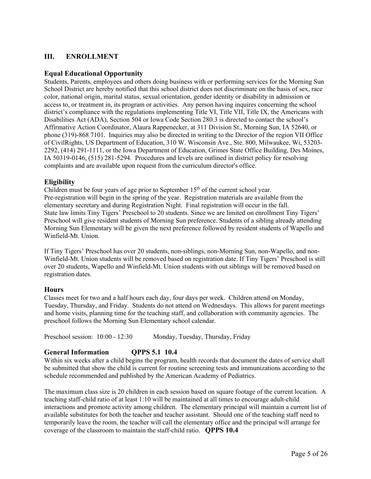# **III. ENROLLMENT**

# **Equal Educational Opportunity**

Students, Parents, employees and others doing business with or performing services for the Morning Sun School District are hereby notified that this school district does not discriminate on the basis of sex, race color, national origin, marital status, sexual orientation, gender identity or disability in admission or access to, or treatment in, its program or activities. Any person having inquires concerning the school district's compliance with the regulations implementing Title VI, Title VII, Title IX, the Americans with Disabilities Act (ADA), Section 504 or Iowa Code Section 280.3 is directed to contact the school's Affirmative Action Coordinator, Alaura Rappenecker, at 311 Division St., Morning Sun, IA 52640, or phone (319)-868 7101. Inquiries may also be directed in writing to the Director of the region VII Office of CivilRights, US Department of Education, 310 W. Wisconsin Ave., Ste. 800, Milwaukee, Wi, 53203- 2292, (414) 291-1111, or the Iowa Department of Education, Grimes State Office Building, Des Moines, IA 50319-0146, (515) 281-5294. Procedures and levels are outlined in district policy for resolving complaints and are available upon request from the curriculum director's office.

# **Eligibility**

Children must be four years of age prior to September  $15<sup>th</sup>$  of the current school year. Pre-registration will begin in the spring of the year. Registration materials are available from the elementary secretary and during Registration Night. Final registration will occur in the fall. State law limits Tiny Tigers' Preschool to 20 students. Since we are limited on enrollment Tiny Tigers' Preschool will give resident students of Morning Sun preference. Students of a sibling already attending Morning Sun Elementary will be given the next preference followed by resident students of Wapello and Winfield-Mt. Union.

If Tiny Tigers' Preschool has over 20 students, non-siblings, non-Morning Sun, non-Wapello, and non-Winfield-Mt. Union students will be removed based on registration date. If Tiny Tigers' Preschool is still over 20 students, Wapello and Winfield-Mt. Union students with out siblings will be removed based on registration dates.

# **Hours**

Classes meet for two and a half hours each day, four days per week. Children attend on Monday, Tuesday, Thursday, and Friday. Students do not attend on Wednesdays. This allows for parent meetings and home visits, planning time for the teaching staff, and collaboration with community agencies. The preschool follows the Morning Sun Elementary school calendar.

Preschool session: 10:00 - 12:30 Monday, Tuesday, Thursday, Friday

# **General Information QPPS 5.1 10.4**

Within six weeks after a child begins the program, health records that document the dates of service shall be submitted that show the child is current for routine screening tests and immunizations according to the schedule recommended and published by the American Academy of Pediatrics.

The maximum class size is 20 children in each session based on square footage of the current location. A teaching staff-child ratio of at least 1:10 will be maintained at all times to encourage adult-child interactions and promote activity among children. The elementary principal will maintain a current list of available substitutes for both the teacher and teacher assistant. Should one of the teaching staff need to temporarily leave the room, the teacher will call the elementary office and the principal will arrange for coverage of the classroom to maintain the staff-child ratio. **QPPS 10.4**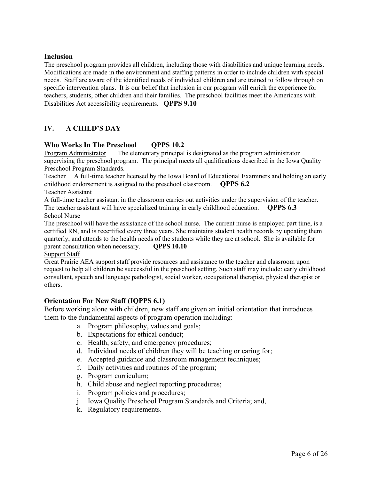# **Inclusion**

The preschool program provides all children, including those with disabilities and unique learning needs. Modifications are made in the environment and staffing patterns in order to include children with special needs. Staff are aware of the identified needs of individual children and are trained to follow through on specific intervention plans. It is our belief that inclusion in our program will enrich the experience for teachers, students, other children and their families. The preschool facilities meet the Americans with Disabilities Act accessibility requirements. **QPPS 9.10**

# **IV. A CHILD'S DAY**

# **Who Works In The Preschool QPPS 10.2**

Program Administrator The elementary principal is designated as the program administrator supervising the preschool program. The principal meets all qualifications described in the Iowa Quality Preschool Program Standards.

Teacher A full-time teacher licensed by the Iowa Board of Educational Examiners and holding an early childhood endorsement is assigned to the preschool classroom. **QPPS 6.2**

Teacher Assistant

A full-time teacher assistant in the classroom carries out activities under the supervision of the teacher. The teacher assistant will have specialized training in early childhood education. **QPPS 6.3** School Nurse

The preschool will have the assistance of the school nurse. The current nurse is employed part time, is a certified RN, and is recertified every three years. She maintains student health records by updating them quarterly, and attends to the health needs of the students while they are at school. She is available for parent consultation when necessary. **QPPS 10.10**

# Support Staff

Great Prairie AEA support staff provide resources and assistance to the teacher and classroom upon request to help all children be successful in the preschool setting. Such staff may include: early childhood consultant, speech and language pathologist, social worker, occupational therapist, physical therapist or others.

# **Orientation For New Staff (IQPPS 6.1)**

Before working alone with children, new staff are given an initial orientation that introduces them to the fundamental aspects of program operation including:

- a. Program philosophy, values and goals;
- b. Expectations for ethical conduct;
- c. Health, safety, and emergency procedures;
- d. Individual needs of children they will be teaching or caring for;
- e. Accepted guidance and classroom management techniques;
- f. Daily activities and routines of the program;
- g. Program curriculum;
- h. Child abuse and neglect reporting procedures;
- i. Program policies and procedures;
- j. Iowa Quality Preschool Program Standards and Criteria; and,
- k. Regulatory requirements.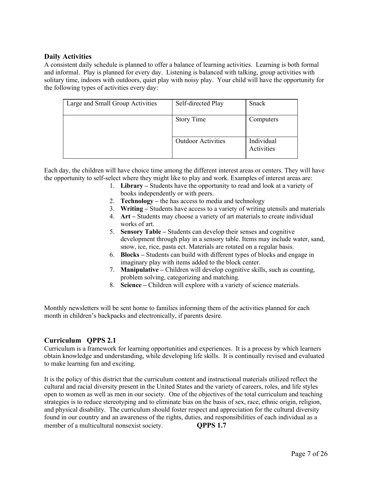# **Daily Activities**

A consistent daily schedule is planned to offer a balance of learning activities. Learning is both formal and informal. Play is planned for every day. Listening is balanced with talking, group activities with solitary time, indoors with outdoors, quiet play with noisy play. Your child will have the opportunity for the following types of activities every day:

| Large and Small Group Activities | Self-directed Play        | Snack                    |
|----------------------------------|---------------------------|--------------------------|
|                                  | <b>Story Time</b>         | Computers                |
|                                  | <b>Outdoor Activities</b> | Individual<br>Activities |

Each day, the children will have choice time among the different interest areas or centers. They will have the opportunity to self-select where they might like to play and work. Examples of interest areas are:

- 1. **Library –** Students have the opportunity to read and look at a variety of books independently or with peers.
- 2. **Technology –** the has access to media and technology
- 3. **Writing –** Students have access to a variety of writing utensils and materials
- 4. **Art –** Students may choose a variety of art materials to create individual works of art.
- 5. **Sensory Table –** Students can develop their senses and cognitive development through play in a sensory table. Items may include water, sand, snow, ice, rice, pasta ect. Materials are rotated on a regular basis.
- 6. **Blocks –** Students can build with different types of blocks and engage in imaginary play with items added to the block center.
- 7. **Manipulative –** Children will develop cognitive skills, such as counting, problem solving, categorizing and matching.
- 8. **Science –** Children will explore with a variety of science materials.

Monthly newsletters will be sent home to families informing them of the activities planned for each month in children's backpacks and electronically, if parents desire.

# **Curriculum QPPS 2.1**

Curriculum is a framework for learning opportunities and experiences. It is a process by which learners obtain knowledge and understanding, while developing life skills. It is continually revised and evaluated to make learning fun and exciting.

It is the policy of this district that the curriculum content and instructional materials utilized reflect the cultural and racial diversity present in the United States and the variety of careers, roles, and life styles open to women as well as men in our society. One of the objectives of the total curriculum and teaching strategies is to reduce stereotyping and to eliminate bias on the basis of sex, race, ethnic origin, religion, and physical disability. The curriculum should foster respect and appreciation for the cultural diversity found in our country and an awareness of the rights, duties, and responsibilities of each individual as a member of a multicultural nonsexist society. **QPPS 1.7**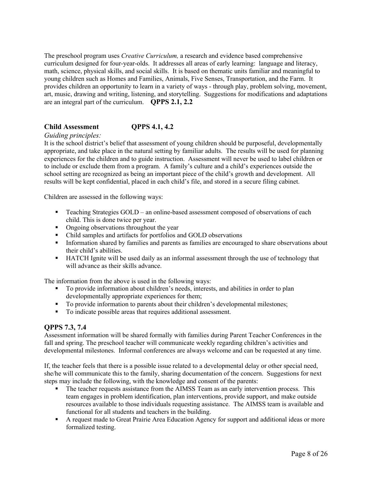The preschool program uses *Creative Curriculum,* a research and evidence based comprehensive curriculum designed for four-year-olds. It addresses all areas of early learning: language and literacy, math, science, physical skills, and social skills. It is based on thematic units familiar and meaningful to young children such as Homes and Families, Animals, Five Senses, Transportation, and the Farm. It provides children an opportunity to learn in a variety of ways - through play, problem solving, movement, art, music, drawing and writing, listening, and storytelling. Suggestions for modifications and adaptations are an integral part of the curriculum. **QPPS 2.1, 2.2**

# **Child Assessment QPPS 4.1, 4.2**

# *Guiding principles:*

It is the school district's belief that assessment of young children should be purposeful, developmentally appropriate, and take place in the natural setting by familiar adults. The results will be used for planning experiences for the children and to guide instruction. Assessment will never be used to label children or to include or exclude them from a program. A family's culture and a child's experiences outside the school setting are recognized as being an important piece of the child's growth and development. All results will be kept confidential, placed in each child's file, and stored in a secure filing cabinet.

Children are assessed in the following ways:

- Teaching Strategies GOLD an online-based assessment composed of observations of each child. This is done twice per year.
- Ongoing observations throughout the year
- Child samples and artifacts for portfolios and GOLD observations
- **•** Information shared by families and parents as families are encouraged to share observations about their child's abilities.
- **■** HATCH Ignite will be used daily as an informal assessment through the use of technology that will advance as their skills advance.

The information from the above is used in the following ways:

- To provide information about children's needs, interests, and abilities in order to plan developmentally appropriate experiences for them;
- § To provide information to parents about their children's developmental milestones;
- To indicate possible areas that requires additional assessment.

# **QPPS 7.3, 7.4**

Assessment information will be shared formally with families during Parent Teacher Conferences in the fall and spring. The preschool teacher will communicate weekly regarding children's activities and developmental milestones. Informal conferences are always welcome and can be requested at any time.

If, the teacher feels that there is a possible issue related to a developmental delay or other special need, she/he will communicate this to the family, sharing documentation of the concern. Suggestions for next steps may include the following, with the knowledge and consent of the parents:

- The teacher requests assistance from the AIMSS Team as an early intervention process. This team engages in problem identification, plan interventions, provide support, and make outside resources available to those individuals requesting assistance. The AIMSS team is available and functional for all students and teachers in the building.
- A request made to Great Prairie Area Education Agency for support and additional ideas or more formalized testing.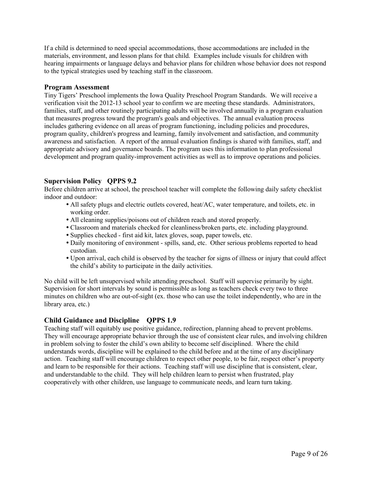If a child is determined to need special accommodations, those accommodations are included in the materials, environment, and lesson plans for that child. Examples include visuals for children with hearing impairments or language delays and behavior plans for children whose behavior does not respond to the typical strategies used by teaching staff in the classroom.

# **Program Assessment**

Tiny Tigers' Preschool implements the Iowa Quality Preschool Program Standards. We will receive a verification visit the 2012-13 school year to confirm we are meeting these standards. Administrators, families, staff, and other routinely participating adults will be involved annually in a program evaluation that measures progress toward the program's goals and objectives. The annual evaluation process includes gathering evidence on all areas of program functioning, including policies and procedures, program quality, children's progress and learning, family involvement and satisfaction, and community awareness and satisfaction. A report of the annual evaluation findings is shared with families, staff, and appropriate advisory and governance boards. The program uses this information to plan professional development and program quality-improvement activities as well as to improve operations and policies.

# **Supervision Policy QPPS 9.2**

Before children arrive at school, the preschool teacher will complete the following daily safety checklist indoor and outdoor:

- All safety plugs and electric outlets covered, heat/AC, water temperature, and toilets, etc. in working order.
- All cleaning supplies/poisons out of children reach and stored properly.
- Classroom and materials checked for cleanliness/broken parts, etc. including playground.
- Supplies checked first aid kit, latex gloves, soap, paper towels, etc.
- Daily monitoring of environment spills, sand, etc. Other serious problems reported to head custodian.
- Upon arrival, each child is observed by the teacher for signs of illness or injury that could affect the child's ability to participate in the daily activities.

No child will be left unsupervised while attending preschool. Staff will supervise primarily by sight. Supervision for short intervals by sound is permissible as long as teachers check every two to three minutes on children who are out-of-sight (ex. those who can use the toilet independently, who are in the library area, etc.)

# **Child Guidance and Discipline QPPS 1.9**

Teaching staff will equitably use positive guidance, redirection, planning ahead to prevent problems. They will encourage appropriate behavior through the use of consistent clear rules, and involving children in problem solving to foster the child's own ability to become self disciplined. Where the child understands words, discipline will be explained to the child before and at the time of any disciplinary action. Teaching staff will encourage children to respect other people, to be fair, respect other's property and learn to be responsible for their actions. Teaching staff will use discipline that is consistent, clear, and understandable to the child. They will help children learn to persist when frustrated, play cooperatively with other children, use language to communicate needs, and learn turn taking.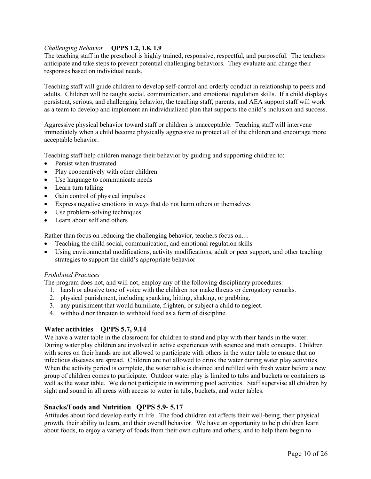# *Challenging Behavior* **QPPS 1.2, 1.8, 1.9**

The teaching staff in the preschool is highly trained, responsive, respectful, and purposeful. The teachers anticipate and take steps to prevent potential challenging behaviors. They evaluate and change their responses based on individual needs.

Teaching staff will guide children to develop self-control and orderly conduct in relationship to peers and adults. Children will be taught social, communication, and emotional regulation skills. If a child displays persistent, serious, and challenging behavior, the teaching staff, parents, and AEA support staff will work as a team to develop and implement an individualized plan that supports the child's inclusion and success.

Aggressive physical behavior toward staff or children is unacceptable. Teaching staff will intervene immediately when a child become physically aggressive to protect all of the children and encourage more acceptable behavior.

Teaching staff help children manage their behavior by guiding and supporting children to:

- Persist when frustrated
- Play cooperatively with other children
- Use language to communicate needs
- Learn turn talking
- Gain control of physical impulses
- Express negative emotions in ways that do not harm others or themselves
- Use problem-solving techniques
- Learn about self and others

Rather than focus on reducing the challenging behavior, teachers focus on…

- Teaching the child social, communication, and emotional regulation skills
- Using environmental modifications, activity modifications, adult or peer support, and other teaching strategies to support the child's appropriate behavior

# *Prohibited Practices*

The program does not, and will not, employ any of the following disciplinary procedures:

- 1. harsh or abusive tone of voice with the children nor make threats or derogatory remarks.
- 2. physical punishment, including spanking, hitting, shaking, or grabbing.
- 3. any punishment that would humiliate, frighten, or subject a child to neglect.
- 4. withhold nor threaten to withhold food as a form of discipline.

# **Water activities QPPS 5.7, 9.14**

We have a water table in the classroom for children to stand and play with their hands in the water. During water play children are involved in active experiences with science and math concepts. Children with sores on their hands are not allowed to participate with others in the water table to ensure that no infectious diseases are spread. Children are not allowed to drink the water during water play activities. When the activity period is complete, the water table is drained and refilled with fresh water before a new group of children comes to participate. Outdoor water play is limited to tubs and buckets or containers as well as the water table. We do not participate in swimming pool activities. Staff supervise all children by sight and sound in all areas with access to water in tubs, buckets, and water tables.

# **Snacks/Foods and Nutrition QPPS 5.9- 5.17**

Attitudes about food develop early in life. The food children eat affects their well-being, their physical growth, their ability to learn, and their overall behavior. We have an opportunity to help children learn about foods, to enjoy a variety of foods from their own culture and others, and to help them begin to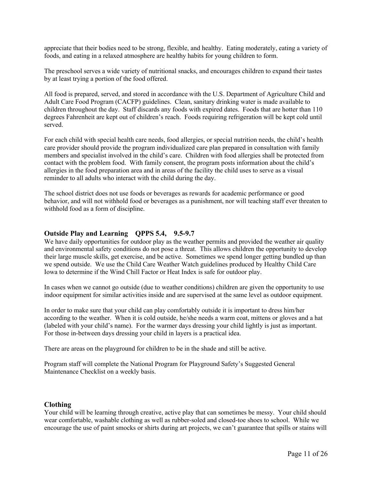appreciate that their bodies need to be strong, flexible, and healthy. Eating moderately, eating a variety of foods, and eating in a relaxed atmosphere are healthy habits for young children to form.

The preschool serves a wide variety of nutritional snacks, and encourages children to expand their tastes by at least trying a portion of the food offered.

All food is prepared, served, and stored in accordance with the U.S. Department of Agriculture Child and Adult Care Food Program (CACFP) guidelines. Clean, sanitary drinking water is made available to children throughout the day. Staff discards any foods with expired dates. Foods that are hotter than 110 degrees Fahrenheit are kept out of children's reach. Foods requiring refrigeration will be kept cold until served.

For each child with special health care needs, food allergies, or special nutrition needs, the child's health care provider should provide the program individualized care plan prepared in consultation with family members and specialist involved in the child's care. Children with food allergies shall be protected from contact with the problem food. With family consent, the program posts information about the child's allergies in the food preparation area and in areas of the facility the child uses to serve as a visual reminder to all adults who interact with the child during the day.

The school district does not use foods or beverages as rewards for academic performance or good behavior, and will not withhold food or beverages as a punishment, nor will teaching staff ever threaten to withhold food as a form of discipline.

# **Outside Play and Learning QPPS 5.4, 9.5-9.7**

We have daily opportunities for outdoor play as the weather permits and provided the weather air quality and environmental safety conditions do not pose a threat. This allows children the opportunity to develop their large muscle skills, get exercise, and be active. Sometimes we spend longer getting bundled up than we spend outside. We use the Child Care Weather Watch guidelines produced by Healthy Child Care Iowa to determine if the Wind Chill Factor or Heat Index is safe for outdoor play.

In cases when we cannot go outside (due to weather conditions) children are given the opportunity to use indoor equipment for similar activities inside and are supervised at the same level as outdoor equipment.

In order to make sure that your child can play comfortably outside it is important to dress him/her according to the weather. When it is cold outside, he/she needs a warm coat, mittens or gloves and a hat (labeled with your child's name). For the warmer days dressing your child lightly is just as important. For those in-between days dressing your child in layers is a practical idea.

There are areas on the playground for children to be in the shade and still be active.

Program staff will complete the National Program for Playground Safety's Suggested General Maintenance Checklist on a weekly basis.

# **Clothing**

Your child will be learning through creative, active play that can sometimes be messy. Your child should wear comfortable, washable clothing as well as rubber-soled and closed-toe shoes to school. While we encourage the use of paint smocks or shirts during art projects, we can't guarantee that spills or stains will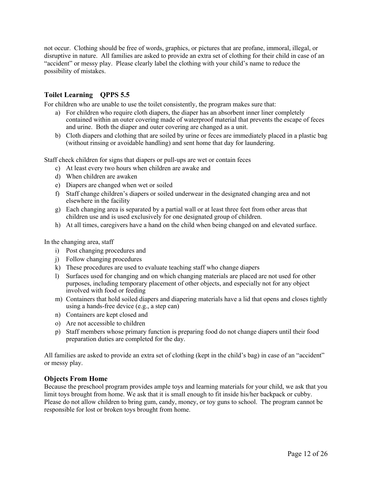not occur. Clothing should be free of words, graphics, or pictures that are profane, immoral, illegal, or disruptive in nature. All families are asked to provide an extra set of clothing for their child in case of an "accident" or messy play. Please clearly label the clothing with your child's name to reduce the possibility of mistakes.

# **Toilet Learning QPPS 5.5**

For children who are unable to use the toilet consistently, the program makes sure that:

- a) For children who require cloth diapers, the diaper has an absorbent inner liner completely contained within an outer covering made of waterproof material that prevents the escape of feces and urine. Both the diaper and outer covering are changed as a unit.
- b) Cloth diapers and clothing that are soiled by urine or feces are immediately placed in a plastic bag (without rinsing or avoidable handling) and sent home that day for laundering.

Staff check children for signs that diapers or pull-ups are wet or contain feces

- c) At least every two hours when children are awake and
- d) When children are awaken
- e) Diapers are changed when wet or soiled
- f) Staff change children's diapers or soiled underwear in the designated changing area and not elsewhere in the facility
- g) Each changing area is separated by a partial wall or at least three feet from other areas that children use and is used exclusively for one designated group of children.
- h) At all times, caregivers have a hand on the child when being changed on and elevated surface.

In the changing area, staff

- i) Post changing procedures and
- j) Follow changing procedures
- k) These procedures are used to evaluate teaching staff who change diapers
- l) Surfaces used for changing and on which changing materials are placed are not used for other purposes, including temporary placement of other objects, and especially not for any object involved with food or feeding
- m) Containers that hold soiled diapers and diapering materials have a lid that opens and closes tightly using a hands-free device (e.g., a step can)
- n) Containers are kept closed and
- o) Are not accessible to children
- p) Staff members whose primary function is preparing food do not change diapers until their food preparation duties are completed for the day.

All families are asked to provide an extra set of clothing (kept in the child's bag) in case of an "accident" or messy play.

#### **Objects From Home**

Because the preschool program provides ample toys and learning materials for your child, we ask that you limit toys brought from home. We ask that it is small enough to fit inside his/her backpack or cubby. Please do not allow children to bring gum, candy, money, or toy guns to school. The program cannot be responsible for lost or broken toys brought from home.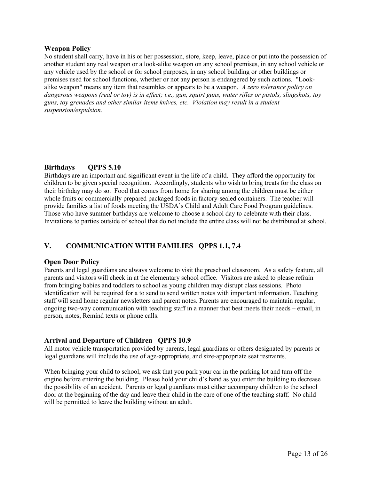# **Weapon Policy**

No student shall carry, have in his or her possession, store, keep, leave, place or put into the possession of another student any real weapon or a look-alike weapon on any school premises, in any school vehicle or any vehicle used by the school or for school purposes, in any school building or other buildings or premises used for school functions, whether or not any person is endangered by such actions. "Lookalike weapon" means any item that resembles or appears to be a weapon. *A zero tolerance policy on dangerous weapons (real or toy) is in effect; i.e., gun, squirt guns, water rifles or pistols, slingshots, toy guns, toy grenades and other similar items knives, etc. Violation may result in a student suspension/expulsion.*

# **Birthdays QPPS 5.10**

Birthdays are an important and significant event in the life of a child. They afford the opportunity for children to be given special recognition. Accordingly, students who wish to bring treats for the class on their birthday may do so. Food that comes from home for sharing among the children must be either whole fruits or commercially prepared packaged foods in factory-sealed containers. The teacher will provide families a list of foods meeting the USDA's Child and Adult Care Food Program guidelines. Those who have summer birthdays are welcome to choose a school day to celebrate with their class. Invitations to parties outside of school that do not include the entire class will not be distributed at school.

# **V. COMMUNICATION WITH FAMILIES QPPS 1.1, 7.4**

# **Open Door Policy**

Parents and legal guardians are always welcome to visit the preschool classroom. As a safety feature, all parents and visitors will check in at the elementary school office. Visitors are asked to please refrain from bringing babies and toddlers to school as young children may disrupt class sessions. Photo identification will be required for a to send to send written notes with important information. Teaching staff will send home regular newsletters and parent notes. Parents are encouraged to maintain regular, ongoing two-way communication with teaching staff in a manner that best meets their needs – email, in person, notes, Remind texts or phone calls.

# **Arrival and Departure of Children QPPS 10.9**

All motor vehicle transportation provided by parents, legal guardians or others designated by parents or legal guardians will include the use of age-appropriate, and size-appropriate seat restraints.

When bringing your child to school, we ask that you park your car in the parking lot and turn off the engine before entering the building. Please hold your child's hand as you enter the building to decrease the possibility of an accident. Parents or legal guardians must either accompany children to the school door at the beginning of the day and leave their child in the care of one of the teaching staff. No child will be permitted to leave the building without an adult.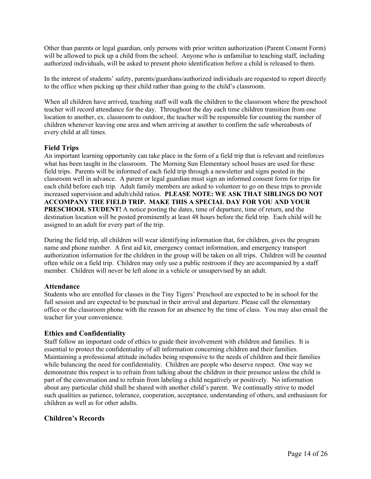Other than parents or legal guardian, only persons with prior written authorization (Parent Consent Form) will be allowed to pick up a child from the school. Anyone who is unfamiliar to teaching staff, including authorized individuals, will be asked to present photo identification before a child is released to them.

In the interest of students' safety, parents/guardians/authorized individuals are requested to report directly to the office when picking up their child rather than going to the child's classroom.

When all children have arrived, teaching staff will walk the children to the classroom where the preschool teacher will record attendance for the day. Throughout the day each time children transition from one location to another, ex. classroom to outdoor, the teacher will be responsible for counting the number of children whenever leaving one area and when arriving at another to confirm the safe whereabouts of every child at all times.

# **Field Trips**

An important learning opportunity can take place in the form of a field trip that is relevant and reinforces what has been taught in the classroom. The Morning Sun Elementary school buses are used for these field trips. Parents will be informed of each field trip through a newsletter and signs posted in the classroom well in advance. A parent or legal guardian must sign an informed consent form for trips for each child before each trip. Adult family members are asked to volunteer to go on these trips to provide increased supervision and adult/child ratios. **PLEASE NOTE: WE ASK THAT SIBLINGS DO NOT ACCOMPANY THE FIELD TRIP. MAKE THIS A SPECIAL DAY FOR YOU AND YOUR PRESCHOOL STUDENT!** A notice posting the dates, time of departure, time of return, and the destination location will be posted prominently at least 48 hours before the field trip. Each child will be assigned to an adult for every part of the trip.

During the field trip, all children will wear identifying information that, for children, gives the program name and phone number. A first aid kit, emergency contact information, and emergency transport authorization information for the children in the group will be taken on all trips. Children will be counted often while on a field trip. Children may only use a public restroom if they are accompanied by a staff member. Children will never be left alone in a vehicle or unsupervised by an adult.

# **Attendance**

Students who are enrolled for classes in the Tiny Tigers' Preschool are expected to be in school for the full session and are expected to be punctual in their arrival and departure. Please call the elementary office or the classroom phone with the reason for an absence by the time of class. You may also email the teacher for your convenience.

# **Ethics and Confidentiality**

Staff follow an important code of ethics to guide their involvement with children and families. It is essential to protect the confidentiality of all information concerning children and their families. Maintaining a professional attitude includes being responsive to the needs of children and their families while balancing the need for confidentiality. Children are people who deserve respect. One way we demonstrate this respect is to refrain from talking about the children in their presence unless the child is part of the conversation and to refrain from labeling a child negatively or positively. No information about any particular child shall be shared with another child's parent. We continually strive to model such qualities as patience, tolerance, cooperation, acceptance, understanding of others, and enthusiasm for children as well as for other adults.

# **Children's Records**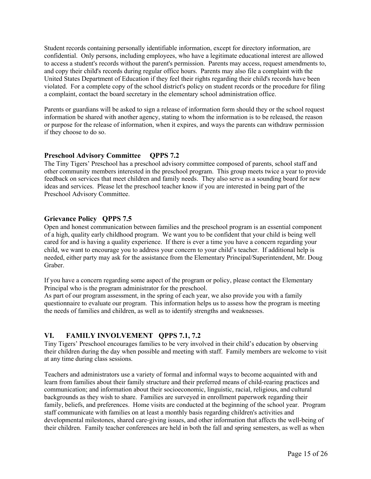Student records containing personally identifiable information, except for directory information, are confidential. Only persons, including employees, who have a legitimate educational interest are allowed to access a student's records without the parent's permission. Parents may access, request amendments to, and copy their child's records during regular office hours. Parents may also file a complaint with the United States Department of Education if they feel their rights regarding their child's records have been violated. For a complete copy of the school district's policy on student records or the procedure for filing a complaint, contact the board secretary in the elementary school administration office.

Parents or guardians will be asked to sign a release of information form should they or the school request information be shared with another agency, stating to whom the information is to be released, the reason or purpose for the release of information, when it expires, and ways the parents can withdraw permission if they choose to do so.

# **Preschool Advisory Committee QPPS 7.2**

The Tiny Tigers' Preschool has a preschool advisory committee composed of parents, school staff and other community members interested in the preschool program. This group meets twice a year to provide feedback on services that meet children and family needs. They also serve as a sounding board for new ideas and services. Please let the preschool teacher know if you are interested in being part of the Preschool Advisory Committee.

# **Grievance Policy QPPS 7.5**

Open and honest communication between families and the preschool program is an essential component of a high, quality early childhood program. We want you to be confident that your child is being well cared for and is having a quality experience. If there is ever a time you have a concern regarding your child, we want to encourage you to address your concern to your child's teacher. If additional help is needed, either party may ask for the assistance from the Elementary Principal/Superintendent, Mr. Doug Graber.

If you have a concern regarding some aspect of the program or policy, please contact the Elementary Principal who is the program administrator for the preschool.

As part of our program assessment, in the spring of each year, we also provide you with a family questionnaire to evaluate our program. This information helps us to assess how the program is meeting the needs of families and children, as well as to identify strengths and weaknesses.

# **VI. FAMILY INVOLVEMENT QPPS 7.1, 7.2**

Tiny Tigers' Preschool encourages families to be very involved in their child's education by observing their children during the day when possible and meeting with staff. Family members are welcome to visit at any time during class sessions.

Teachers and administrators use a variety of formal and informal ways to become acquainted with and learn from families about their family structure and their preferred means of child-rearing practices and communication; and information about their socioeconomic, linguistic, racial, religious, and cultural backgrounds as they wish to share. Families are surveyed in enrollment paperwork regarding their family, beliefs, and preferences. Home visits are conducted at the beginning of the school year. Program staff communicate with families on at least a monthly basis regarding children's activities and developmental milestones, shared care-giving issues, and other information that affects the well-being of their children. Family teacher conferences are held in both the fall and spring semesters, as well as when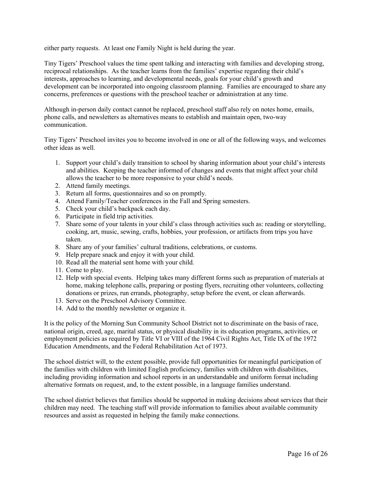either party requests. At least one Family Night is held during the year.

Tiny Tigers' Preschool values the time spent talking and interacting with families and developing strong, reciprocal relationships. As the teacher learns from the families' expertise regarding their child's interests, approaches to learning, and developmental needs, goals for your child's growth and development can be incorporated into ongoing classroom planning. Families are encouraged to share any concerns, preferences or questions with the preschool teacher or administration at any time.

Although in-person daily contact cannot be replaced, preschool staff also rely on notes home, emails, phone calls, and newsletters as alternatives means to establish and maintain open, two-way communication.

Tiny Tigers' Preschool invites you to become involved in one or all of the following ways, and welcomes other ideas as well.

- 1. Support your child's daily transition to school by sharing information about your child's interests and abilities. Keeping the teacher informed of changes and events that might affect your child allows the teacher to be more responsive to your child's needs.
- 2. Attend family meetings.
- 3. Return all forms, questionnaires and so on promptly.
- 4. Attend Family/Teacher conferences in the Fall and Spring semesters.
- 5. Check your child's backpack each day.
- 6. Participate in field trip activities.
- 7. Share some of your talents in your child's class through activities such as: reading or storytelling, cooking, art, music, sewing, crafts, hobbies, your profession, or artifacts from trips you have taken.
- 8. Share any of your families' cultural traditions, celebrations, or customs.
- 9. Help prepare snack and enjoy it with your child.
- 10. Read all the material sent home with your child.
- 11. Come to play.
- 12. Help with special events. Helping takes many different forms such as preparation of materials at home, making telephone calls, preparing or posting flyers, recruiting other volunteers, collecting donations or prizes, run errands, photography, setup before the event, or clean afterwards.
- 13. Serve on the Preschool Advisory Committee.
- 14. Add to the monthly newsletter or organize it.

It is the policy of the Morning Sun Community School District not to discriminate on the basis of race, national origin, creed, age, marital status, or physical disability in its education programs, activities, or employment policies as required by Title VI or VIII of the 1964 Civil Rights Act, Title IX of the 1972 Education Amendments, and the Federal Rehabilitation Act of 1973.

The school district will, to the extent possible, provide full opportunities for meaningful participation of the families with children with limited English proficiency, families with children with disabilities, including providing information and school reports in an understandable and uniform format including alternative formats on request, and, to the extent possible, in a language families understand.

The school district believes that families should be supported in making decisions about services that their children may need. The teaching staff will provide information to families about available community resources and assist as requested in helping the family make connections.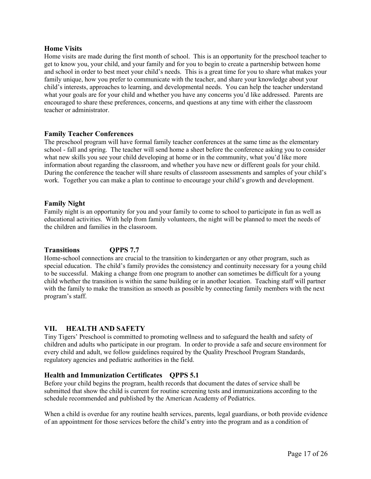# **Home Visits**

Home visits are made during the first month of school. This is an opportunity for the preschool teacher to get to know you, your child, and your family and for you to begin to create a partnership between home and school in order to best meet your child's needs. This is a great time for you to share what makes your family unique, how you prefer to communicate with the teacher, and share your knowledge about your child's interests, approaches to learning, and developmental needs. You can help the teacher understand what your goals are for your child and whether you have any concerns you'd like addressed. Parents are encouraged to share these preferences, concerns, and questions at any time with either the classroom teacher or administrator.

# **Family Teacher Conferences**

The preschool program will have formal family teacher conferences at the same time as the elementary school - fall and spring. The teacher will send home a sheet before the conference asking you to consider what new skills you see your child developing at home or in the community, what you'd like more information about regarding the classroom, and whether you have new or different goals for your child. During the conference the teacher will share results of classroom assessments and samples of your child's work. Together you can make a plan to continue to encourage your child's growth and development.

# **Family Night**

Family night is an opportunity for you and your family to come to school to participate in fun as well as educational activities. With help from family volunteers, the night will be planned to meet the needs of the children and families in the classroom.

# **Transitions QPPS 7.7**

Home-school connections are crucial to the transition to kindergarten or any other program, such as special education. The child's family provides the consistency and continuity necessary for a young child to be successful. Making a change from one program to another can sometimes be difficult for a young child whether the transition is within the same building or in another location. Teaching staff will partner with the family to make the transition as smooth as possible by connecting family members with the next program's staff.

# **VII. HEALTH AND SAFETY**

Tiny Tigers' Preschool is committed to promoting wellness and to safeguard the health and safety of children and adults who participate in our program. In order to provide a safe and secure environment for every child and adult, we follow guidelines required by the Quality Preschool Program Standards, regulatory agencies and pediatric authorities in the field.

# **Health and Immunization Certificates QPPS 5.1**

Before your child begins the program, health records that document the dates of service shall be submitted that show the child is current for routine screening tests and immunizations according to the schedule recommended and published by the American Academy of Pediatrics.

When a child is overdue for any routine health services, parents, legal guardians, or both provide evidence of an appointment for those services before the child's entry into the program and as a condition of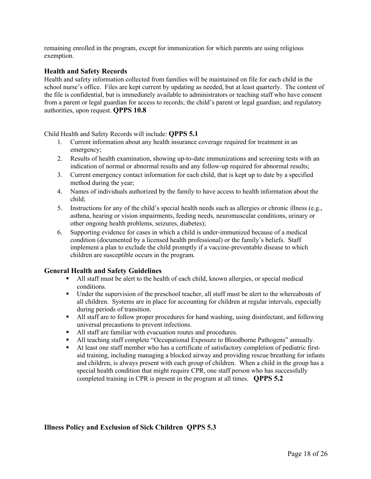remaining enrolled in the program, except for immunization for which parents are using religious exemption.

# **Health and Safety Records**

Health and safety information collected from families will be maintained on file for each child in the school nurse's office. Files are kept current by updating as needed, but at least quarterly. The content of the file is confidential, but is immediately available to administrators or teaching staff who have consent from a parent or legal guardian for access to records; the child's parent or legal guardian; and regulatory authorities, upon request. **QPPS 10.8**

#### Child Health and Safety Records will include: **QPPS 5.1**

- 1. Current information about any health insurance coverage required for treatment in an emergency;
- 2. Results of health examination, showing up-to-date immunizations and screening tests with an indication of normal or abnormal results and any follow-up required for abnormal results;
- 3. Current emergency contact information for each child, that is kept up to date by a specified method during the year;
- 4. Names of individuals authorized by the family to have access to health information about the child;
- 5. Instructions for any of the child's special health needs such as allergies or chronic illness (e.g., asthma, hearing or vision impairments, feeding needs, neuromuscular conditions, urinary or other ongoing health problems, seizures, diabetes);
- 6. Supporting evidence for cases in which a child is under-immunized because of a medical condition (documented by a licensed health professional) or the family's beliefs. Staff implement a plan to exclude the child promptly if a vaccine-preventable disease to which children are susceptible occurs in the program.

# **General Health and Safety Guidelines**

- All staff must be alert to the health of each child, known allergies, or special medical conditions.
- Under the supervision of the preschool teacher, all stuff must be alert to the whereabouts of all children. Systems are in place for accounting for children at regular intervals, especially during periods of transition.
- § All staff are to follow proper procedures for hand washing, using disinfectant, and following universal precautions to prevent infections.
- All staff are familiar with evacuation routes and procedures.
- All teaching staff complete "Occupational Exposure to Bloodborne Pathogens" annually.
- § At least one staff member who has a certificate of satisfactory completion of pediatric firstaid training, including managing a blocked airway and providing rescue breathing for infants and children, is always present with each group of children. When a child in the group has a special health condition that might require CPR, one staff person who has successfully completed training in CPR is present in the program at all times. **QPPS 5.2**

# **Illness Policy and Exclusion of Sick Children QPPS 5.3**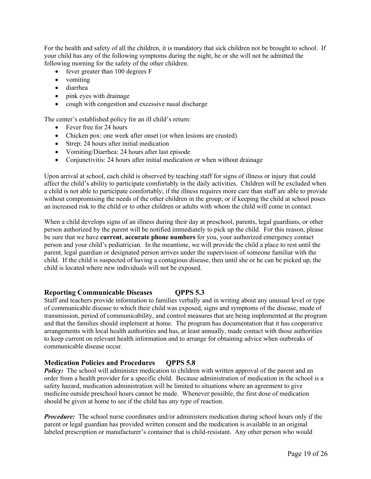For the health and safety of all the children, it is mandatory that sick children not be brought to school. If your child has any of the following symptoms during the night, he or she will not be admitted the following morning for the safety of the other children.

- fever greater than 100 degrees F
- vomiting
- diarrhea
- pink eyes with drainage
- cough with congestion and excessive nasal discharge

The center's established policy for an ill child's return:

- Fever free for 24 hours
- Chicken pox: one week after onset (or when lesions are crusted)
- Strep: 24 hours after initial medication
- Vomiting/Diarrhea: 24 hours after last episode
- Conjunctivitis: 24 hours after initial medication or when without drainage

Upon arrival at school, each child is observed by teaching staff for signs of illness or injury that could affect the child's ability to participate comfortably in the daily activities. Children will be excluded when a child is not able to participate comfortably; if the illness requires more care than staff are able to provide without compromising the needs of the other children in the group; or if keeping the child at school poses an increased risk to the child or to other children or adults with whom the child will come in contact.

When a child develops signs of an illness during their day at preschool, parents, legal guardians, or other person authorized by the parent will be notified immediately to pick up the child. For this reason, please be sure that we have **current**, **accurate phone numbers** for you, your authorized emergency contact person and your child's pediatrician. In the meantime, we will provide the child a place to rest until the parent, legal guardian or designated person arrives under the supervision of someone familiar with the child. If the child is suspected of having a contagious disease, then until she or he can be picked up, the child is located where new individuals will not be exposed.

# **Reporting Communicable Diseases QPPS 5.3**

Staff and teachers provide information to families verbally and in writing about any unusual level or type of communicable disease to which their child was exposed, signs and symptoms of the disease, mode of transmission, period of communicability, and control measures that are being implemented at the program and that the families should implement at home. The program has documentation that it has cooperative arrangements with local health authorities and has, at least annually, made contact with those authorities to keep current on relevant health information and to arrange for obtaining advice when outbreaks of communicable disease occur.

# **Medication Policies and Procedures QPPS 5.8**

**Policy:** The school will administer medication to children with written approval of the parent and an order from a health provider for a specific child. Because administration of medication in the school is a safety hazard, medication administration will be limited to situations where an agreement to give medicine outside preschool hours cannot be made. Whenever possible, the first dose of medication should be given at home to see if the child has any type of reaction.

*Procedure:* The school nurse coordinates and/or administers medication during school hours only if the parent or legal guardian has provided written consent and the medication is available in an original labeled prescription or manufacturer's container that is child-resistant. Any other person who would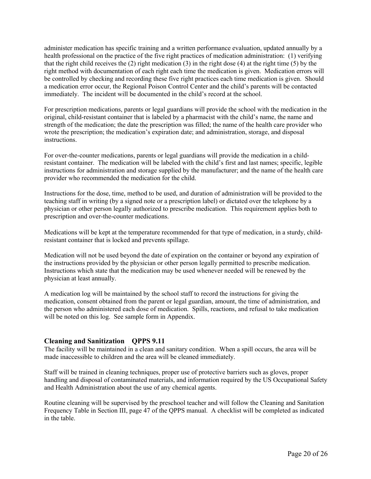administer medication has specific training and a written performance evaluation, updated annually by a health professional on the practice of the five right practices of medication administration: (1) verifying that the right child receives the (2) right medication (3) in the right dose (4) at the right time (5) by the right method with documentation of each right each time the medication is given. Medication errors will be controlled by checking and recording these five right practices each time medication is given. Should a medication error occur, the Regional Poison Control Center and the child's parents will be contacted immediately. The incident will be documented in the child's record at the school.

For prescription medications, parents or legal guardians will provide the school with the medication in the original, child-resistant container that is labeled by a pharmacist with the child's name, the name and strength of the medication; the date the prescription was filled; the name of the health care provider who wrote the prescription; the medication's expiration date; and administration, storage, and disposal instructions.

For over-the-counter medications, parents or legal guardians will provide the medication in a childresistant container. The medication will be labeled with the child's first and last names; specific, legible instructions for administration and storage supplied by the manufacturer; and the name of the health care provider who recommended the medication for the child.

Instructions for the dose, time, method to be used, and duration of administration will be provided to the teaching staff in writing (by a signed note or a prescription label) or dictated over the telephone by a physician or other person legally authorized to prescribe medication. This requirement applies both to prescription and over-the-counter medications.

Medications will be kept at the temperature recommended for that type of medication, in a sturdy, childresistant container that is locked and prevents spillage.

Medication will not be used beyond the date of expiration on the container or beyond any expiration of the instructions provided by the physician or other person legally permitted to prescribe medication. Instructions which state that the medication may be used whenever needed will be renewed by the physician at least annually.

A medication log will be maintained by the school staff to record the instructions for giving the medication, consent obtained from the parent or legal guardian, amount, the time of administration, and the person who administered each dose of medication. Spills, reactions, and refusal to take medication will be noted on this log. See sample form in Appendix.

# **Cleaning and Sanitization QPPS 9.11**

The facility will be maintained in a clean and sanitary condition. When a spill occurs, the area will be made inaccessible to children and the area will be cleaned immediately.

Staff will be trained in cleaning techniques, proper use of protective barriers such as gloves, proper handling and disposal of contaminated materials, and information required by the US Occupational Safety and Health Administration about the use of any chemical agents.

Routine cleaning will be supervised by the preschool teacher and will follow the Cleaning and Sanitation Frequency Table in Section III, page 47 of the QPPS manual. A checklist will be completed as indicated in the table.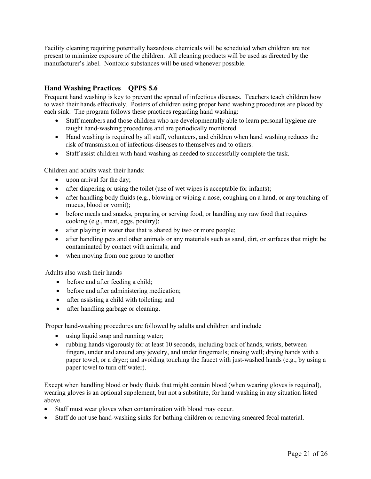Facility cleaning requiring potentially hazardous chemicals will be scheduled when children are not present to minimize exposure of the children. All cleaning products will be used as directed by the manufacturer's label. Nontoxic substances will be used whenever possible.

# **Hand Washing Practices QPPS 5.6**

Frequent hand washing is key to prevent the spread of infectious diseases. Teachers teach children how to wash their hands effectively. Posters of children using proper hand washing procedures are placed by each sink. The program follows these practices regarding hand washing:

- Staff members and those children who are developmentally able to learn personal hygiene are taught hand-washing procedures and are periodically monitored.
- Hand washing is required by all staff, volunteers, and children when hand washing reduces the risk of transmission of infectious diseases to themselves and to others.
- Staff assist children with hand washing as needed to successfully complete the task.

Children and adults wash their hands:

- upon arrival for the day;
- after diapering or using the toilet (use of wet wipes is acceptable for infants);
- after handling body fluids (e.g., blowing or wiping a nose, coughing on a hand, or any touching of mucus, blood or vomit);
- before meals and snacks, preparing or serving food, or handling any raw food that requires cooking (e.g., meat, eggs, poultry);
- after playing in water that that is shared by two or more people;
- after handling pets and other animals or any materials such as sand, dirt, or surfaces that might be contaminated by contact with animals; and
- when moving from one group to another

Adults also wash their hands

- before and after feeding a child;
- before and after administering medication;
- after assisting a child with toileting; and
- after handling garbage or cleaning.

Proper hand-washing procedures are followed by adults and children and include

- using liquid soap and running water;
- rubbing hands vigorously for at least 10 seconds, including back of hands, wrists, between fingers, under and around any jewelry, and under fingernails; rinsing well; drying hands with a paper towel, or a dryer; and avoiding touching the faucet with just-washed hands (e.g., by using a paper towel to turn off water).

Except when handling blood or body fluids that might contain blood (when wearing gloves is required), wearing gloves is an optional supplement, but not a substitute, for hand washing in any situation listed above.

- Staff must wear gloves when contamination with blood may occur.
- Staff do not use hand-washing sinks for bathing children or removing smeared fecal material.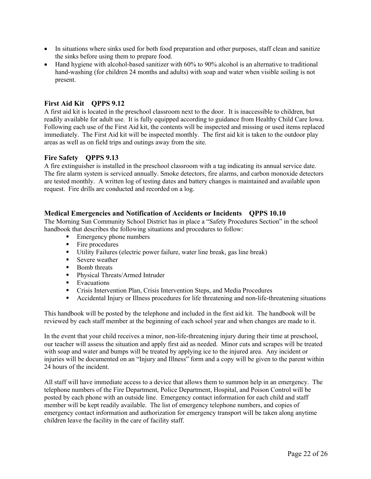- In situations where sinks used for both food preparation and other purposes, staff clean and sanitize the sinks before using them to prepare food.
- Hand hygiene with alcohol-based sanitizer with 60% to 90% alcohol is an alternative to traditional hand-washing (for children 24 months and adults) with soap and water when visible soiling is not present.

# **First Aid Kit QPPS 9.12**

A first aid kit is located in the preschool classroom next to the door. It is inaccessible to children, but readily available for adult use. It is fully equipped according to guidance from Healthy Child Care Iowa. Following each use of the First Aid kit, the contents will be inspected and missing or used items replaced immediately. The First Aid kit will be inspected monthly. The first aid kit is taken to the outdoor play areas as well as on field trips and outings away from the site.

# **Fire Safety QPPS 9.13**

A fire extinguisher is installed in the preschool classroom with a tag indicating its annual service date. The fire alarm system is serviced annually. Smoke detectors, fire alarms, and carbon monoxide detectors are tested monthly. A written log of testing dates and battery changes is maintained and available upon request. Fire drills are conducted and recorded on a log.

# **Medical Emergencies and Notification of Accidents or Incidents QPPS 10.10**

The Morning Sun Community School District has in place a "Safety Procedures Section" in the school handbook that describes the following situations and procedures to follow:

- Emergency phone numbers
- Fire procedures
- § Utility Failures (electric power failure, water line break, gas line break)
- Severe weather
- Bomb threats
- Physical Threats/Armed Intruder
- Evacuations
- § Crisis Intervention Plan, Crisis Intervention Steps, and Media Procedures
- Accidental Injury or Illness procedures for life threatening and non-life-threatening situations

This handbook will be posted by the telephone and included in the first aid kit. The handbook will be reviewed by each staff member at the beginning of each school year and when changes are made to it.

In the event that your child receives a minor, non-life-threatening injury during their time at preschool, our teacher will assess the situation and apply first aid as needed. Minor cuts and scrapes will be treated with soap and water and bumps will be treated by applying ice to the injured area. Any incident or injuries will be documented on an "Injury and Illness" form and a copy will be given to the parent within 24 hours of the incident.

All staff will have immediate access to a device that allows them to summon help in an emergency. The telephone numbers of the Fire Department, Police Department, Hospital, and Poison Control will be posted by each phone with an outside line. Emergency contact information for each child and staff member will be kept readily available. The list of emergency telephone numbers, and copies of emergency contact information and authorization for emergency transport will be taken along anytime children leave the facility in the care of facility staff.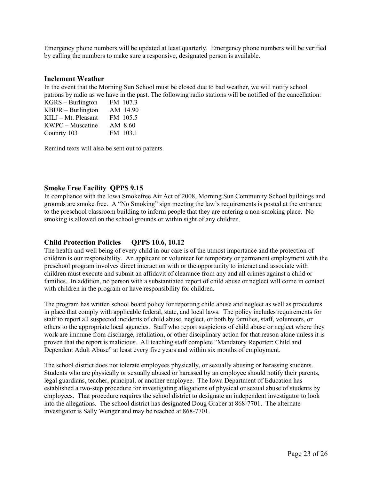Emergency phone numbers will be updated at least quarterly. Emergency phone numbers will be verified by calling the numbers to make sure a responsive, designated person is available.

#### **Inclement Weather**

In the event that the Morning Sun School must be closed due to bad weather, we will notify school patrons by radio as we have in the past. The following radio stations will be notified of the cancellation:

| $KGRS - Burlington$ | FM 107.3 |
|---------------------|----------|
| $KBUR - Burlington$ | AM 14.90 |
| KILJ - Mt. Pleasant | FM 105.5 |
| KWPC – Muscatine    | AM 8.60  |
| Counrty 103         | FM 103.1 |

Remind texts will also be sent out to parents.

# **Smoke Free Facility QPPS 9.15**

In compliance with the Iowa Smokefree Air Act of 2008, Morning Sun Community School buildings and grounds are smoke free. A "No Smoking" sign meeting the law's requirements is posted at the entrance to the preschool classroom building to inform people that they are entering a non-smoking place. No smoking is allowed on the school grounds or within sight of any children.

# **Child Protection Policies QPPS 10.6, 10.12**

The health and well being of every child in our care is of the utmost importance and the protection of children is our responsibility. An applicant or volunteer for temporary or permanent employment with the preschool program involves direct interaction with or the opportunity to interact and associate with children must execute and submit an affidavit of clearance from any and all crimes against a child or families. In addition, no person with a substantiated report of child abuse or neglect will come in contact with children in the program or have responsibility for children.

The program has written school board policy for reporting child abuse and neglect as well as procedures in place that comply with applicable federal, state, and local laws. The policy includes requirements for staff to report all suspected incidents of child abuse, neglect, or both by families, staff, volunteers, or others to the appropriate local agencies. Staff who report suspicions of child abuse or neglect where they work are immune from discharge, retaliation, or other disciplinary action for that reason alone unless it is proven that the report is malicious. All teaching staff complete "Mandatory Reporter: Child and Dependent Adult Abuse" at least every five years and within six months of employment.

The school district does not tolerate employees physically, or sexually abusing or harassing students. Students who are physically or sexually abused or harassed by an employee should notify their parents, legal guardians, teacher, principal, or another employee. The Iowa Department of Education has established a two-step procedure for investigating allegations of physical or sexual abuse of students by employees. That procedure requires the school district to designate an independent investigator to look into the allegations. The school district has designated Doug Graber at 868-7701. The alternate investigator is Sally Wenger and may be reached at 868-7701.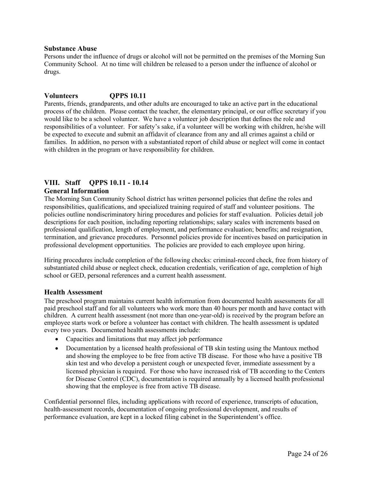#### **Substance Abuse**

Persons under the influence of drugs or alcohol will not be permitted on the premises of the Morning Sun Community School. At no time will children be released to a person under the influence of alcohol or drugs.

#### **Volunteers QPPS 10.11**

Parents, friends, grandparents, and other adults are encouraged to take an active part in the educational process of the children. Please contact the teacher, the elementary principal, or our office secretary if you would like to be a school volunteer. We have a volunteer job description that defines the role and responsibilities of a volunteer. For safety's sake, if a volunteer will be working with children, he/she will be expected to execute and submit an affidavit of clearance from any and all crimes against a child or families. In addition, no person with a substantiated report of child abuse or neglect will come in contact with children in the program or have responsibility for children.

# **VIII. Staff QPPS 10.11 - 10.14 General Information**

The Morning Sun Community School district has written personnel policies that define the roles and responsibilities, qualifications, and specialized training required of staff and volunteer positions. The policies outline nondiscriminatory hiring procedures and policies for staff evaluation. Policies detail job descriptions for each position, including reporting relationships; salary scales with increments based on professional qualification, length of employment, and performance evaluation; benefits; and resignation, termination, and grievance procedures. Personnel policies provide for incentives based on participation in professional development opportunities. The policies are provided to each employee upon hiring.

Hiring procedures include completion of the following checks: criminal-record check, free from history of substantiated child abuse or neglect check, education credentials, verification of age, completion of high school or GED, personal references and a current health assessment.

#### **Health Assessment**

The preschool program maintains current health information from documented health assessments for all paid preschool staff and for all volunteers who work more than 40 hours per month and have contact with children. A current health assessment (not more than one-year-old) is received by the program before an employee starts work or before a volunteer has contact with children. The health assessment is updated every two years. Documented health assessments include:

- Capacities and limitations that may affect job performance
- Documentation by a licensed health professional of TB skin testing using the Mantoux method and showing the employee to be free from active TB disease. For those who have a positive TB skin test and who develop a persistent cough or unexpected fever, immediate assessment by a licensed physician is required. For those who have increased risk of TB according to the Centers for Disease Control (CDC), documentation is required annually by a licensed health professional showing that the employee is free from active TB disease.

Confidential personnel files, including applications with record of experience, transcripts of education, health-assessment records, documentation of ongoing professional development, and results of performance evaluation, are kept in a locked filing cabinet in the Superintendent's office.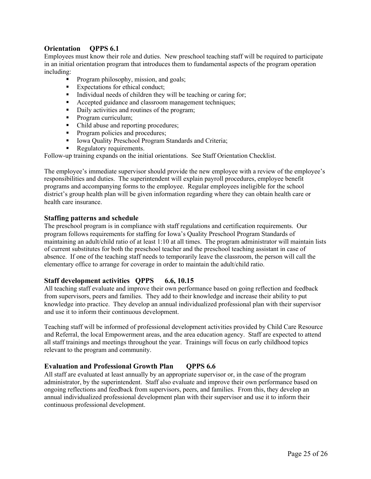# **Orientation QPPS 6.1**

Employees must know their role and duties. New preschool teaching staff will be required to participate in an initial orientation program that introduces them to fundamental aspects of the program operation including:

- § Program philosophy, mission, and goals;
- Expectations for ethical conduct;
- Individual needs of children they will be teaching or caring for;
- Accepted guidance and classroom management techniques;
- Daily activities and routines of the program;
- Program curriculum;
- Child abuse and reporting procedures;
- Program policies and procedures;
- Iowa Quality Preschool Program Standards and Criteria;
- Regulatory requirements.

Follow-up training expands on the initial orientations. See Staff Orientation Checklist.

The employee's immediate supervisor should provide the new employee with a review of the employee's responsibilities and duties. The superintendent will explain payroll procedures, employee benefit programs and accompanying forms to the employee. Regular employees ineligible for the school district's group health plan will be given information regarding where they can obtain health care or health care insurance.

#### **Staffing patterns and schedule**

The preschool program is in compliance with staff regulations and certification requirements. Our program follows requirements for staffing for Iowa's Quality Preschool Program Standards of maintaining an adult/child ratio of at least 1:10 at all times. The program administrator will maintain lists of current substitutes for both the preschool teacher and the preschool teaching assistant in case of absence. If one of the teaching staff needs to temporarily leave the classroom, the person will call the elementary office to arrange for coverage in order to maintain the adult/child ratio.

# **Staff development activities QPPS 6.6, 10.15**

All teaching staff evaluate and improve their own performance based on going reflection and feedback from supervisors, peers and families. They add to their knowledge and increase their ability to put knowledge into practice. They develop an annual individualized professional plan with their supervisor and use it to inform their continuous development.

Teaching staff will be informed of professional development activities provided by Child Care Resource and Referral, the local Empowerment areas, and the area education agency. Staff are expected to attend all staff trainings and meetings throughout the year. Trainings will focus on early childhood topics relevant to the program and community.

# **Evaluation and Professional Growth Plan QPPS 6.6**

All staff are evaluated at least annually by an appropriate supervisor or, in the case of the program administrator, by the superintendent. Staff also evaluate and improve their own performance based on ongoing reflections and feedback from supervisors, peers, and families. From this, they develop an annual individualized professional development plan with their supervisor and use it to inform their continuous professional development.